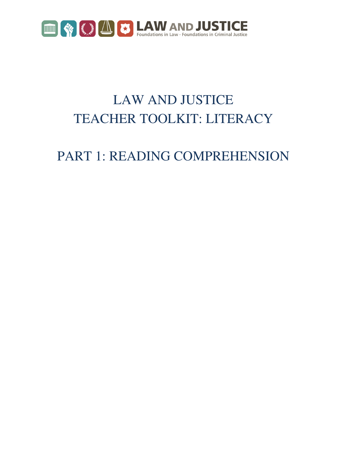

# LAW AND JUSTICE TEACHER TOOLKIT: LITERACY

# PART 1: READING COMPREHENSION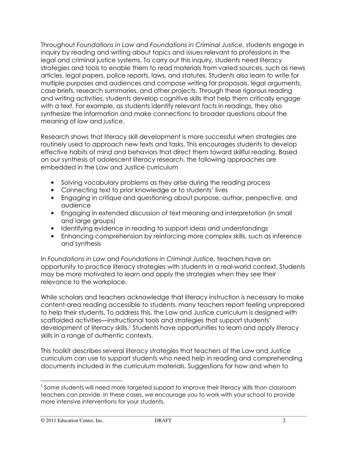Throughout Foundations in Law and Foundations in Criminal Justice, students engage in inquiry by reading and writing about topics and issues relevant to professions in the legal and criminal justice systems. To carry out this inquiry, students need literacy strategies and tools to enable them to read materials from varied sources, such as news articles, legal papers, police reports, laws, and statutes. Students also learn to write for multiple purposes and audiences and compose writing for proposals, legal arguments, case briefs, research summaries, and other projects. Through these rigorous reading and writing activities, students develop cognitive skills that help them critically engage with a text. For example, as students identify relevant facts in readings, they also synthesize the information and make connections to broader questions about the meaning of law and justice.

Research shows that literacy skill development is more successful when strategies are routinely used to approach new texts and tasks. This encourages students to develop effective habits of mind and behaviors that direct them toward skillful reading. Based on our synthesis of adolescent literacy research, the following approaches are embedded in the Law and Justice curriculum

- Solving vocabulary problems as they arise during the reading process
- Connecting text to prior knowledge or to students' lives
- Engaging in critique and questioning about purpose, author, perspective, and audience
- Engaging in extended discussion of text meaning and interpretation (in small and large groups)
- Identifying evidence in reading to support ideas and understandings
- Enhancing comprehension by reinforcing more complex skills, such as inference and synthesis

In Foundations in Law and Foundations in Criminal Justice, teachers have an opportunity to practice literacy strategies with students in a real-world context. Students may be more motivated to learn and apply the strategies when they see their relevance to the workplace.

While scholars and teachers acknowledge that literacy instruction is necessary to make content-area reading accessible to students, many teachers report feeling unprepared to help their students. To address this, the Law and Justice curriculum is designed with scaffolded activities—instructional tools and strategies that support students' development of literacy skills.<sup>1</sup> Students have opportunities to learn and apply literacy skills in a range of authentic contexts.

This toolkit describes several literacy strategies that teachers of the Law and Justice curriculum can use to support students who need help in reading and comprehending documents included in the curriculum materials. Suggestions for how and when to

 $<sup>1</sup>$  Some students will need more targeted support to improve their literacy skills than classroom</sup> teachers can provide. In these cases, we encourage you to work with your school to provide more intensive interventions for your students.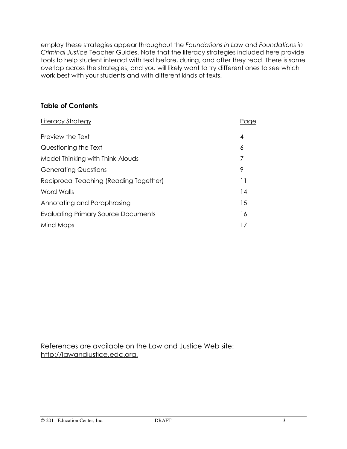employ these strategies appear throughout the Foundations in Law and Foundations in Criminal Justice Teacher Guides. Note that the literacy strategies included here provide tools to help student interact with text before, during, and after they read. There is some overlap across the strategies, and you will likely want to try different ones to see which work best with your students and with different kinds of texts.

## Table of Contents

| Literacy Strategy                          | Page |
|--------------------------------------------|------|
| Preview the Text                           | 4    |
| Questioning the Text                       | 6    |
| Model Thinking with Think-Alouds           | 7    |
| <b>Generating Questions</b>                | 9    |
| Reciprocal Teaching (Reading Together)     | 11   |
| Word Walls                                 | 14   |
| Annotating and Paraphrasing                | 15   |
| <b>Evaluating Primary Source Documents</b> | 16   |
| Mind Maps                                  | 17   |

References are available on the Law and Justice Web site: http://lawandjustice.edc.org.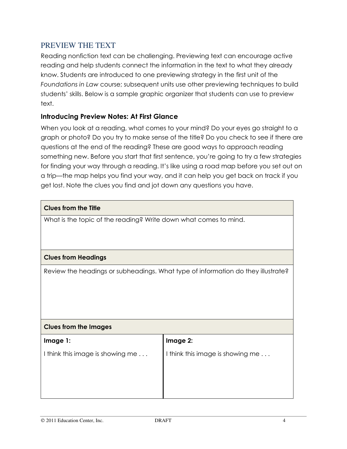## PREVIEW THE TEXT

Reading nonfiction text can be challenging. Previewing text can encourage active reading and help students connect the information in the text to what they already know. Students are introduced to one previewing strategy in the first unit of the Foundations in Law course; subsequent units use other previewing techniques to build students' skills. Below is a sample graphic organizer that students can use to preview text.

## Introducing Preview Notes: At First Glance

When you look at a reading, what comes to your mind? Do your eyes go straight to a graph or photo? Do you try to make sense of the title? Do you check to see if there are questions at the end of the reading? These are good ways to approach reading something new. Before you start that first sentence, you're going to try a few strategies for finding your way through a reading. It's like using a road map before you set out on a trip—the map helps you find your way, and it can help you get back on track if you get lost. Note the clues you find and jot down any questions you have.

| <b>Clues from the Title</b>                                                      |                                  |  |
|----------------------------------------------------------------------------------|----------------------------------|--|
| What is the topic of the reading? Write down what comes to mind.                 |                                  |  |
|                                                                                  |                                  |  |
|                                                                                  |                                  |  |
| <b>Clues from Headings</b>                                                       |                                  |  |
| Review the headings or subheadings. What type of information do they illustrate? |                                  |  |
|                                                                                  |                                  |  |
|                                                                                  |                                  |  |
|                                                                                  |                                  |  |
|                                                                                  |                                  |  |
| <b>Clues from the Images</b>                                                     |                                  |  |
| Image 1:                                                                         | Image 2:                         |  |
| I think this image is showing me                                                 | I think this image is showing me |  |
|                                                                                  |                                  |  |
|                                                                                  |                                  |  |
|                                                                                  |                                  |  |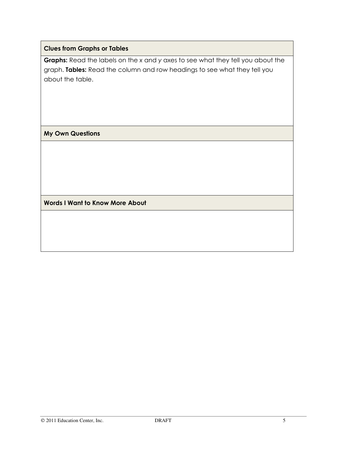### Clues from Graphs or Tables

Graphs: Read the labels on the x and y axes to see what they tell you about the graph. Tables: Read the column and row headings to see what they tell you about the table.

My Own Questions

Words I Want to Know More About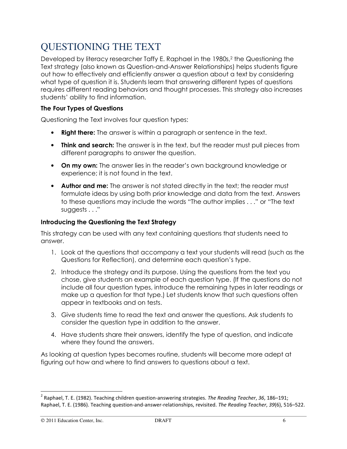## QUESTIONING THE TEXT

Developed by literacy researcher Taffy E. Raphael in the 1980s,<sup>2</sup> the Questioning the Text strategy (also known as Question-and-Answer Relationships) helps students figure out how to effectively and efficiently answer a question about a text by considering what type of question it is. Students learn that answering different types of questions requires different reading behaviors and thought processes. This strategy also increases students' ability to find information.

### The Four Types of Questions

Questioning the Text involves four question types:

- Right there: The answer is within a paragraph or sentence in the text.
- Think and search: The answer is in the text, but the reader must pull pieces from different paragraphs to answer the question.
- On my own: The answer lies in the reader's own background knowledge or experience; it is not found in the text.
- Author and me: The answer is not stated directly in the text; the reader must formulate ideas by using both prior knowledge and data from the text. Answers to these questions may include the words "The author implies . . ." or "The text suggests . . ."

### Introducing the Questioning the Text Strategy

This strategy can be used with any text containing questions that students need to answer.

- 1. Look at the questions that accompany a text your students will read (such as the Questions for Reflection), and determine each question's type.
- 2. Introduce the strategy and its purpose. Using the questions from the text you chose, give students an example of each question type. (If the questions do not include all four question types, introduce the remaining types in later readings or make up a question for that type.) Let students know that such questions often appear in textbooks and on tests.
- 3. Give students time to read the text and answer the questions. Ask students to consider the question type in addition to the answer.
- 4. Have students share their answers, identify the type of question, and indicate where they found the answers.

As looking at question types becomes routine, students will become more adept at figuring out how and where to find answers to questions about a text.

<sup>&</sup>lt;sup>2</sup> Raphael, T. E. (1982). Teaching children question-answering strategies. The Reading Teacher, 36, 186–191; Raphael, T. E. (1986). Teaching question-and-answer-relationships, revisited. The Reading Teacher, 39(6), 516–522.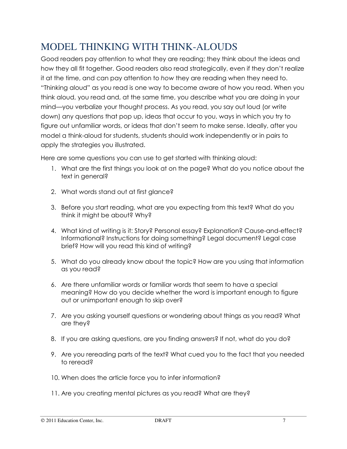## MODEL THINKING WITH THINK-ALOUDS

Good readers pay attention to what they are reading; they think about the ideas and how they all fit together. Good readers also read strategically, even if they don't realize it at the time, and can pay attention to how they are reading when they need to. "Thinking aloud" as you read is one way to become aware of how you read. When you think aloud, you read and, at the same time, you describe what you are doing in your mind—you verbalize your thought process. As you read, you say out loud (or write down) any questions that pop up, ideas that occur to you, ways in which you try to figure out unfamiliar words, or ideas that don't seem to make sense. Ideally, after you model a think-aloud for students, students should work independently or in pairs to apply the strategies you illustrated.

Here are some questions you can use to get started with thinking aloud:

- 1. What are the first things you look at on the page? What do you notice about the text in general?
- 2. What words stand out at first glance?
- 3. Before you start reading, what are you expecting from this text? What do you think it might be about? Why?
- 4. What kind of writing is it: Story? Personal essay? Explanation? Cause-and-effect? Informational? Instructions for doing something? Legal document? Legal case brief? How will you read this kind of writing?
- 5. What do you already know about the topic? How are you using that information as you read?
- 6. Are there unfamiliar words or familiar words that seem to have a special meaning? How do you decide whether the word is important enough to figure out or unimportant enough to skip over?
- 7. Are you asking yourself questions or wondering about things as you read? What are they?
- 8. If you are asking questions, are you finding answers? If not, what do you do?
- 9. Are you rereading parts of the text? What cued you to the fact that you needed to reread?
- 10. When does the article force you to infer information?
- 11. Are you creating mental pictures as you read? What are they?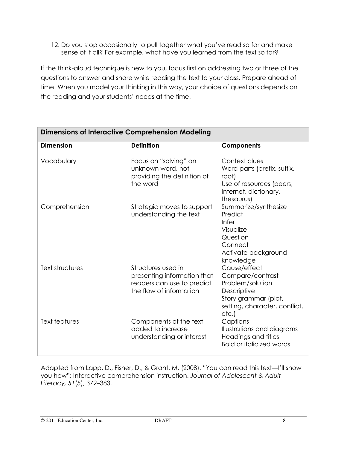12. Do you stop occasionally to pull together what you've read so far and make sense of it all? For example, what have you learned from the text so far?

If the think-aloud technique is new to you, focus first on addressing two or three of the questions to answer and share while reading the text to your class. Prepare ahead of time. When you model your thinking in this way, your choice of questions depends on the reading and your students' needs at the time.

| <b>Dimensions of Interactive Comprehension Modeling</b> |                                                                                                            |                                                                                                                                       |  |
|---------------------------------------------------------|------------------------------------------------------------------------------------------------------------|---------------------------------------------------------------------------------------------------------------------------------------|--|
| <b>Dimension</b>                                        | <b>Definition</b>                                                                                          | <b>Components</b>                                                                                                                     |  |
| Vocabulary                                              | Focus on "solving" an<br>unknown word, not<br>providing the definition of<br>the word                      | Context clues<br>Word parts (prefix, suffix,<br>root)<br>Use of resources (peers,<br>Internet, dictionary,<br>thesaurus)              |  |
| Comprehension                                           | Strategic moves to support<br>understanding the text                                                       | Summarize/synthesize<br>Predict<br>Infer<br>Visualize<br>Question<br>Connect<br>Activate background<br>knowledge                      |  |
| Text structures                                         | Structures used in<br>presenting information that<br>readers can use to predict<br>the flow of information | Cause/effect<br>Compare/contrast<br>Problem/solution<br>Descriptive<br>Story grammar (plot,<br>setting, character, conflict,<br>etc.) |  |
| <b>Text features</b>                                    | Components of the text<br>added to increase<br>understanding or interest                                   | Captions<br>Illustrations and diagrams<br>Headings and titles<br><b>Bold or italicized words</b>                                      |  |

Adapted from Lapp, D., Fisher, D., & Grant, M. (2008). "You can read this text—I'll show you how": Interactive comprehension instruction. Journal of Adolescent & Adult Literacy, 51(5), 372–383.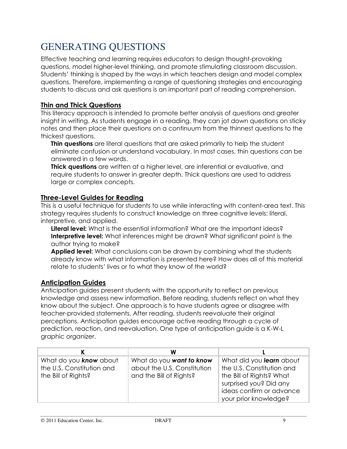## GENERATING QUESTIONS

Effective teaching and learning requires educators to design thought-provoking questions, model higher-level thinking, and promote stimulating classroom discussion. Students' thinking is shaped by the ways in which teachers design and model complex questions. Therefore, implementing a range of questioning strategies and encouraging students to discuss and ask questions is an important part of reading comprehension.

## Thin and Thick Questions

This literacy approach is intended to promote better analysis of questions and greater insight in writing. As students engage in a reading, they can jot down questions on sticky notes and then place their questions on a continuum from the thinnest questions to the thickest questions.

**Thin questions** are literal questions that are asked primarily to help the student eliminate confusion or understand vocabulary. In most cases, thin questions can be answered in a few words.

**Thick questions** are written at a higher level, are inferential or evaluative, and require students to answer in greater depth. Thick questions are used to address large or complex concepts.

## Three-Level Guides for Reading

This is a useful technique for students to use while interacting with content-area text. This strategy requires students to construct knowledge on three cognitive levels: literal, interpretive, and applied.

Literal level: What is the essential information? What are the important ideas? Interpretive level: What inferences might be drawn? What significant point is the author trying to make?

**Applied level:** What conclusions can be drawn by combining what the students already know with what information is presented here? How does all of this material relate to students' lives or to what they know of the world?

## Anticipation Guides

Anticipation guides present students with the opportunity to reflect on previous knowledge and assess new information. Before reading, students reflect on what they know about the subject. One approach is to have students agree or disagree with teacher-provided statements. After reading, students reevaluate their original perceptions. Anticipation guides encourage active reading through a cycle of prediction, reaction, and reevaluation. One type of anticipation guide is a K-W-L graphic organizer.

|                                                                            | W                                                                                  |                                                                                                                                                                  |
|----------------------------------------------------------------------------|------------------------------------------------------------------------------------|------------------------------------------------------------------------------------------------------------------------------------------------------------------|
| What do you know about<br>the U.S. Constitution and<br>the Bill of Rights? | What do you want to know<br>about the U.S. Constitution<br>and the Bill of Rights? | What did you learn about<br>the U.S. Constitution and<br>the Bill of Rights? What<br>surprised you? Did any<br>ideas confirm or advance<br>your prior knowledge? |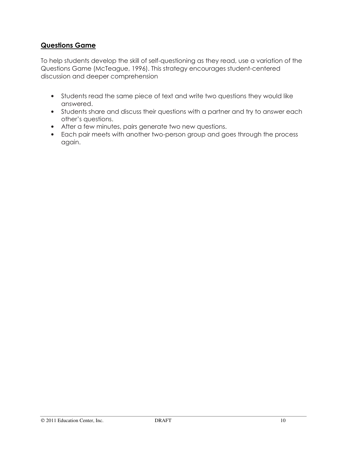## Questions Game

To help students develop the skill of self-questioning as they read, use a variation of the Questions Game (McTeague, 1996). This strategy encourages student-centered discussion and deeper comprehension

- Students read the same piece of text and write two questions they would like answered.
- Students share and discuss their questions with a partner and try to answer each other's questions.
- After a few minutes, pairs generate two new questions.
- Each pair meets with another two-person group and goes through the process again.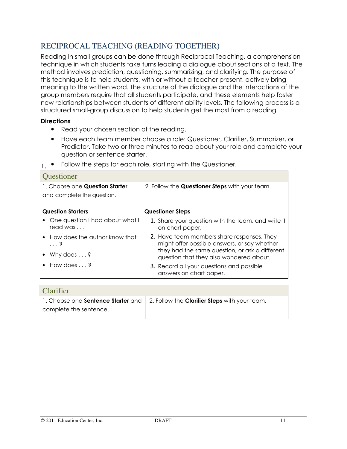## RECIPROCAL TEACHING (READING TOGETHER)

Reading in small groups can be done through Reciprocal Teaching, a comprehension technique in which students take turns leading a dialogue about sections of a text. The method involves prediction, questioning, summarizing, and clarifying. The purpose of this technique is to help students, with or without a teacher present, actively bring meaning to the written word. The structure of the dialogue and the interactions of the group members require that all students participate, and these elements help foster new relationships between students of different ability levels. The following process is a structured small-group discussion to help students get the most from a reading.

#### **Directions**

- Read your chosen section of the reading.
- Have each team member choose a role: Questioner, Clarifier, Summarizer, or Predictor. Take two or three minutes to read about your role and complete your question or sentence starter.

| 1. Choose one Question Starter<br>2. Follow the <b>Questioner Steps</b> with your team.<br>and complete the question.<br><b>Question Starters</b><br><b>Questioner Steps</b><br>One question I had about what I<br>1. Share your question with the team, and write it<br>read was<br>on chart paper.<br>2. Have team members share responses. They<br>• How does the author know that |
|---------------------------------------------------------------------------------------------------------------------------------------------------------------------------------------------------------------------------------------------------------------------------------------------------------------------------------------------------------------------------------------|
|                                                                                                                                                                                                                                                                                                                                                                                       |
|                                                                                                                                                                                                                                                                                                                                                                                       |
|                                                                                                                                                                                                                                                                                                                                                                                       |
|                                                                                                                                                                                                                                                                                                                                                                                       |
| might offer possible answers, or say whether<br>$\cdot \cdot \cdot$ 3                                                                                                                                                                                                                                                                                                                 |
| they had the same question, or ask a different<br>Why does $\dots$ ?<br>question that they also wondered about.                                                                                                                                                                                                                                                                       |
| • How does $\ldots$ ?<br>3. Record all your questions and possible<br>answers on chart paper.                                                                                                                                                                                                                                                                                         |

 $1.$  • Follow the steps for each role, starting with the Questioner.

| <b>Clarifier</b>       |                                                                                                  |
|------------------------|--------------------------------------------------------------------------------------------------|
|                        | 1. Choose one <b>Sentence Starter</b> and   2. Follow the <b>Clarifier Steps</b> with your team. |
| complete the sentence. |                                                                                                  |
|                        |                                                                                                  |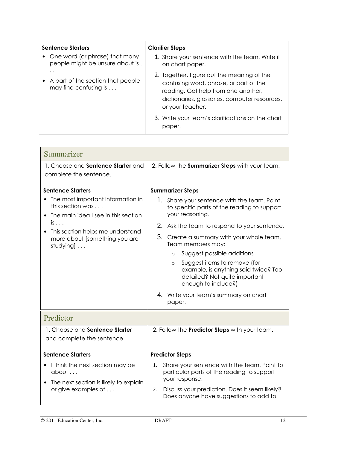| <b>Sentence Starters</b><br>• One word (or phrase) that many<br>people might be unsure about is. | <b>Clarifier Steps</b><br>1. Share your sentence with the team. Write it<br>on chart paper.                                                                                                      |
|--------------------------------------------------------------------------------------------------|--------------------------------------------------------------------------------------------------------------------------------------------------------------------------------------------------|
| $\cdot$ .<br>A part of the section that people<br>may find confusing is $\dots$                  | 2. Together, figure out the meaning of the<br>confusing word, phrase, or part of the<br>reading. Get help from one another,<br>dictionaries, glossaries, computer resources,<br>or your teacher. |
|                                                                                                  | 3. Write your team's clarifications on the chart<br>paper.                                                                                                                                       |

| Summarizer                                                                                     |                                                                                                                                         |  |  |
|------------------------------------------------------------------------------------------------|-----------------------------------------------------------------------------------------------------------------------------------------|--|--|
| 1. Choose one <b>Sentence Starter</b> and<br>complete the sentence.                            | 2. Follow the Summarizer Steps with your team.                                                                                          |  |  |
| <b>Sentence Starters</b>                                                                       | <b>Summarizer Steps</b>                                                                                                                 |  |  |
| The most important information in<br>this section was<br>The main idea I see in this section   | 1. Share your sentence with the team. Point<br>to specific parts of the reading to support<br>your reasoning.                           |  |  |
| $is \dots$                                                                                     | 2.<br>Ask the team to respond to your sentence.                                                                                         |  |  |
| This section helps me understand<br>more about [something you are<br>studying] $\ldots$        | 3. Create a summary with your whole team.<br>Team members may:                                                                          |  |  |
|                                                                                                | Suggest possible additions<br>$\circ$                                                                                                   |  |  |
|                                                                                                | Suggest items to remove (for<br>$\circ$<br>example, is anything said twice? Too<br>detailed? Not quite important<br>enough to include?) |  |  |
|                                                                                                | 4. Write your team's summary on chart<br>paper.                                                                                         |  |  |
| Predictor                                                                                      |                                                                                                                                         |  |  |
| 1. Choose one Sentence Starter<br>and complete the sentence.                                   | 2. Follow the Predictor Steps with your team.                                                                                           |  |  |
| <b>Sentence Starters</b>                                                                       | <b>Predictor Steps</b>                                                                                                                  |  |  |
| I think the next section may be<br>about<br>The next section is likely to explain<br>$\bullet$ | Share your sentence with the team. Point to<br>1.<br>particular parts of the reading to support<br>your response.                       |  |  |
| or give examples of                                                                            | Discuss your prediction. Does it seem likely?<br>2.<br>Does anyone have suggestions to add to                                           |  |  |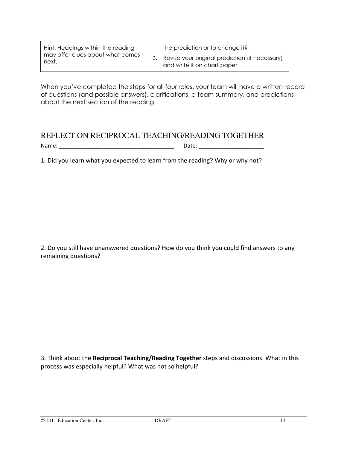| Hint: Headings within the reading |  |
|-----------------------------------|--|
| may offer clues about what comes  |  |
| next.                             |  |

the prediction or to change it?

3. Revise your original prediction (if necessary) and write it on chart paper.

When you've completed the steps for all four roles, your team will have a written record of questions (and possible answers), clarifications, a team summary, and predictions about the next section of the reading.

## REFLECT ON RECIPROCAL TEACHING/READING TOGETHER

Name: \_\_\_\_\_\_\_\_\_\_\_\_\_\_\_\_\_\_\_\_\_\_\_\_\_\_\_\_\_\_\_\_\_\_\_\_\_ Date: \_\_\_\_\_\_\_\_\_\_\_\_\_\_\_\_\_\_\_\_\_

1. Did you learn what you expected to learn from the reading? Why or why not?

2. Do you still have unanswered questions? How do you think you could find answers to any remaining questions?

3. Think about the Reciprocal Teaching/Reading Together steps and discussions. What in this process was especially helpful? What was not so helpful?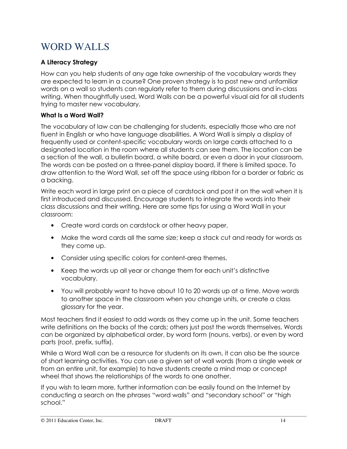## WORD WALLS

## A Literacy Strategy

How can you help students of any age take ownership of the vocabulary words they are expected to learn in a course? One proven strategy is to post new and unfamiliar words on a wall so students can regularly refer to them during discussions and in-class writing. When thoughtfully used, Word Walls can be a powerful visual aid for all students trying to master new vocabulary.

### What Is a Word Wall?

The vocabulary of law can be challenging for students, especially those who are not fluent in English or who have language disabilities. A Word Wall is simply a display of frequently used or content-specific vocabulary words on large cards attached to a designated location in the room where all students can see them. The location can be a section of the wall, a bulletin board, a white board, or even a door in your classroom. The words can be posted on a three-panel display board, if there is limited space. To draw attention to the Word Wall, set off the space using ribbon for a border or fabric as a backing.

Write each word in large print on a piece of cardstock and post it on the wall when it is first introduced and discussed. Encourage students to integrate the words into their class discussions and their writing. Here are some tips for using a Word Wall in your classroom:

- Create word cards on cardstock or other heavy paper.
- Make the word cards all the same size; keep a stack cut and ready for words as they come up.
- Consider using specific colors for content-area themes.
- Keep the words up all year or change them for each unit's distinctive vocabulary.
- You will probably want to have about 10 to 20 words up at a time. Move words to another space in the classroom when you change units, or create a class glossary for the year.

Most teachers find it easiest to add words as they come up in the unit. Some teachers write definitions on the backs of the cards; others just post the words themselves. Words can be organized by alphabetical order, by word form (nouns, verbs), or even by word parts (root, prefix, suffix).

While a Word Wall can be a resource for students on its own, it can also be the source of short learning activities. You can use a given set of wall words (from a single week or from an entire unit, for example) to have students create a mind map or concept wheel that shows the relationships of the words to one another.

If you wish to learn more, further information can be easily found on the Internet by conducting a search on the phrases "word walls" and "secondary school" or "high school."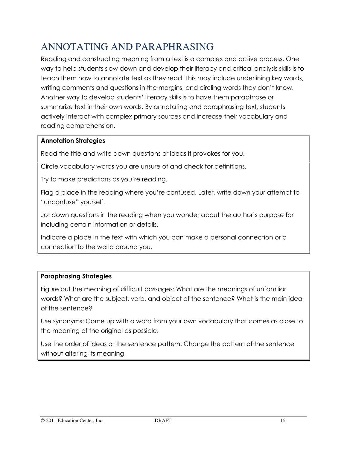## ANNOTATING AND PARAPHRASING

Reading and constructing meaning from a text is a complex and active process. One way to help students slow down and develop their literacy and critical analysis skills is to teach them how to annotate text as they read. This may include underlining key words, writing comments and questions in the margins, and circling words they don't know. Another way to develop students' literacy skills is to have them paraphrase or summarize text in their own words. By annotating and paraphrasing text, students actively interact with complex primary sources and increase their vocabulary and reading comprehension.

## Annotation Strategies

Read the title and write down questions or ideas it provokes for you.

Circle vocabulary words you are unsure of and check for definitions.

Try to make predictions as you're reading.

Flag a place in the reading where you're confused. Later, write down your attempt to "unconfuse" yourself.

Jot down questions in the reading when you wonder about the author's purpose for including certain information or details.

Indicate a place in the text with which you can make a personal connection or a connection to the world around you.

## Paraphrasing Strategies

Figure out the meaning of difficult passages: What are the meanings of unfamiliar words? What are the subject, verb, and object of the sentence? What is the main idea of the sentence?

Use synonyms: Come up with a word from your own vocabulary that comes as close to the meaning of the original as possible.

Use the order of ideas or the sentence pattern: Change the pattern of the sentence without altering its meaning.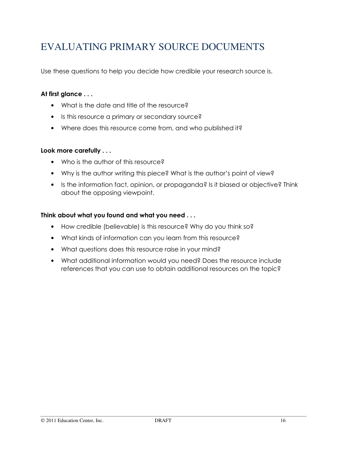## EVALUATING PRIMARY SOURCE DOCUMENTS

Use these questions to help you decide how credible your research source is.

### At first glance . . .

- What is the date and title of the resource?
- Is this resource a primary or secondary source?
- Where does this resource come from, and who published it?

### Look more carefully . . .

- Who is the author of this resource?
- Why is the author writing this piece? What is the author's point of view?
- Is the information fact, opinion, or propaganda? Is it biased or objective? Think about the opposing viewpoint.

### Think about what you found and what you need . . .

- How credible (believable) is this resource? Why do you think so?
- What kinds of information can you learn from this resource?
- What questions does this resource raise in your mind?
- What additional information would you need? Does the resource include references that you can use to obtain additional resources on the topic?